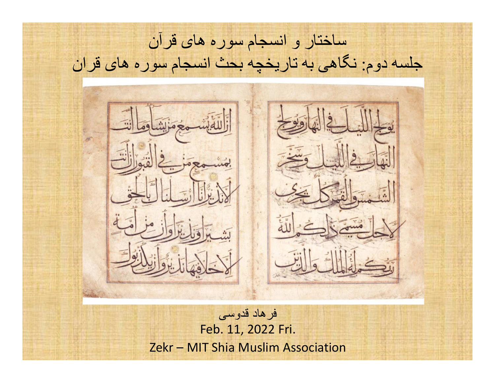ساختار و انسجام سوره های قرآن جلسه دوم: نگاهی به تاريخچه بحث انسجام سوره های قرانفرهاد قدوسی Feb. 11, 2022 Fri.Zekr – MIT Shia Muslim Association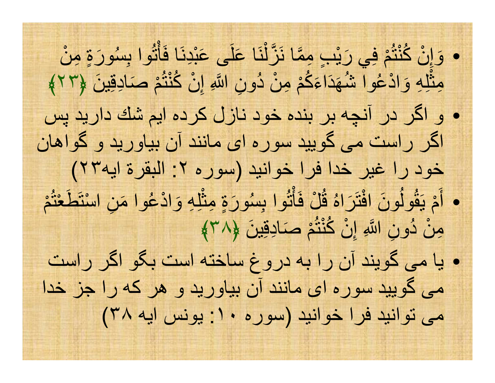بِسُورَةٍ مِنْ  $\frac{1}{2}$   $\frac{1}{2}$   $\frac{1}{2}$   $\frac{1}{2}$   $\frac{1}{2}$   $\frac{1}{2}$   $\frac{1}{2}$   $\frac{1}{2}$   $\frac{1}{2}$   $\frac{1}{2}$   $\frac{1}{2}$   $\frac{1}{2}$   $\frac{1}{2}$   $\frac{1}{2}$   $\frac{1}{2}$   $\frac{1}{2}$   $\frac{1}{2}$   $\frac{1}{2}$   $\frac{1}{2}$   $\frac{1}{2}$   $\frac{1}{2}$   $\frac{1}{2}$  ثُوا بِسُ  $\bullet$ ٥ عَلَى عَبْدِنَا فَأَ<sub>ّ</sub><br>مقامته نَا علَ ْوَإِنْ كُنْتُمْ فِي رَبْبٍ مِمَّا نَزَّلْا ثَّله وَادْعُوا شُهَدَاءَكُمْ مِنْ دُونِ اللَّهِ إِنْ كُنْتُمْ صَادِقِينَ إ و اگر در آنچه بر بنده خود نازل كرده ايم شك داريد پس ثَّلِهِ وَادْعُوا شُهَدَاءَ مِثْلِهِ وَادْعُوا شُهَدَاءَكُمْ مِنْ دُونِ اللَّهِ إِنْ كُنْتُمْ صَادِقِينَ ﴿٦٢﴾  $\bullet$ اگر راست مى گوييد سوره اى مانند آن بياوريد و گواهان خود را غير خدا فرا خوانيد (سوره ٢: البقرة ايه٢٣) ْمْعتُاسْتَطَ • أَمْ يَقُولُونَ افْتَرَاهُ قُلْ فَأْتُوا بِسُورَةٍ مِثْلِهِ وَادْعُوا مَنِ أَثُوا بِسُورَةٍ مِثْ مِنْ دُونِ اللَّهِ إِنْ كُنْتُمْ صَادِقِينَ ﴿٣٨﴾ ة<br>قار فْلُ قاهَُرتَ٥ َون افُه<br>قولُ َ يْمَأيا مى گويند آن را به دروغ ساخته است بگو اگر راست  $\bullet$ مى گوييد سوره اى مانند آن بياوريد و هر كه را جز خدا مى توانيد فرا خوانيد (سوره ١٠: يونس ايه ٣٨)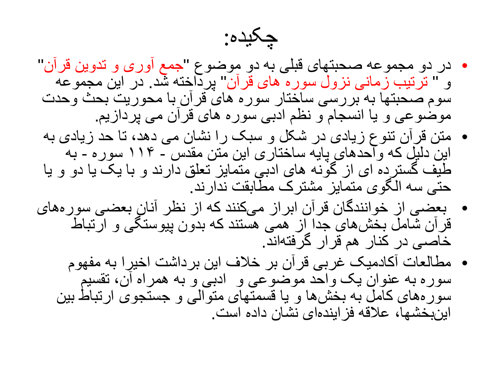چکيده:

- جمع آوری و تدوين قرآن" در دو مجموعه صحبتهای قبلی به دو موضوع "•و " ترتیب زمانی نزول سوره های قرآن" پرداخته شد. در این مجموعه سوم صحبتها به بررسی ساختار سوره های قرآن با محوريت بحث وحدت موضوعی و يا انسجام و نظم ادبی سوره های قرآن می پردازيم.
	- متن قرآن تنوع زيادی در شکل و سبک را نشان می دهد، تا حد زيادی به •به ١١۴سوره **-**<br>مکمل این دلیل که وآحدهای پایه ساختاری این متن مقدس - ۱۱۴ سوره - به<br>طیف گسترده ای از گونه های ادبی متمایز تعلق دارند و با یک یا دو و یا حتی سه الگوی متمايز مشترک مطابقت ندارند.
- بعضی از خوانندگان قرآن ابراز می کنند که از نظر آنان بعضی سوره های •قرآن شامل بخش های جدا از همی هستند که بدون پيوستگی و ارتباط خاصی در کنار هم قرار گرفته اند.
	- مطالعات آکادميک غربی قرآن بر خلاف اين برداشت اخيرا به مفهوم •سوره به عنوان يک واحد موضوعی و ادبی و به همراه ان، تقسيم<br>سورههای کامل به بخشها و يا قسمتهای متوالی و جستجوی ارتباط بين اينبخشها، علاقه فز ايندهای نشان داده است.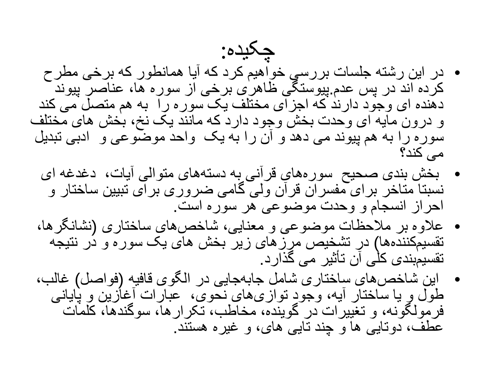- چکيده: در اين رشته جلسات بررسی خواهيم کرد که آيا همانطور که برخی مطرح •کرده اند در پس عدم پیوستگی ظاهری برخی از سوره ها، عناصر پیوند<br>دهنده ای وجود دارند که اجزای مختلف یک سوره را به هم متصل می کند<br>و درون مایه ای وحدت بخش وجود دارد که مانند یک نخ، بخش های مختلف<br>سوره را به هم پیوند می دهد و آن می کند؟
	- بخش بندی صحيح سوره های قرآنی به دسته های متوالی آيات، دغدغه ای •نسبتا متاخر برای مفسران قرآن ولی گامی ضروری برای تبيين ساختار و احراز انسجام و وحدت موضوعی هر سوره است.
- نشانگرها، علاوه بر ملاحظات موضوعی و معنايی، شاخص های ساختاری (• تقسيم کننده ها) در تشخيص مرزهای زير بخش های يک سوره و در نتيجه تقسيم بندی کلی آن تأثير می گذارد.
- اين شاخص،ای ساختاری شامل جابهجايی در الگوی قافيه (فواصل) غالب، طول و يا ساختار آيه، وجود توازیهای نحوی، عبارات أغازين و پايانی<br>فرمولگونه، و تغييرات در گوينده، مخاطب، تكرارها، سوگندها، كلمات •عطف، دوتايی ها و چند تايی های، و غيره هستند.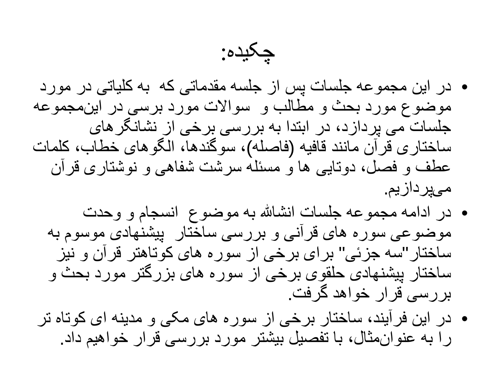چکيده:

- در اين مجموعه جلسات پس از جلسه مقدماتی که به کلياتی در مورد •موضوع مورد بحث و مطالب و سوالات مورد برسی در اینمجموعه<br>جلسات می پردازد، در ابتدا به بررسی برخی از نشانگرهای ساختاری قرآن مانند قافيه (فاصله)، سوگندها، الگوهای خطاب، کلمات عطف و فصل، دوتايی ها و مسئله سرشت شفاهی و نوشتاری قرآن می پردازيم.
	- در ادامه مجموعه جلسات انشالله به موضوع انسجام و وحدت •موضوعی سوره های قرآنی و بررسی ساختار پيشنهادی موسوم به ساختار "سه جزئی" برای برخی از سوره های کوتاهتر قرآن و نیز ساختار پيشنهادی حلقوی برخی از سوره های بزرگتر مورد بحث و بررسی قرار خواهد گرفت.
- در اين فرآيند، ساختار برخی از سوره های مکی و مدينه ای کوتاه تر •را به عنوان مثال، با تفصيل بيشتر مورد بررسی قرار خواهيم داد.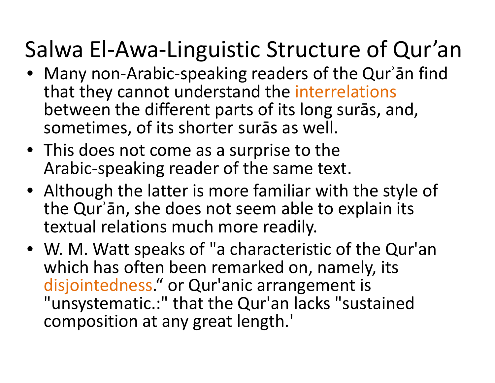# Salwa El-Awa-Linguistic Structure of Qur'an

- Many non‐Arabic‐speaking readers of the Qurʾān find that they cannot understand the interrelations between the different parts of its long surās, and,sometimes, of its shorter surās as well.
- This does not come as a surprise to the Arabic‐speaking reader of the same text.
- Although the latter is more familiar with the style of the Qurʾān, she does not seem able to explain its textual relations much more readily.
- W. M. Watt speaks of "a characteristic of the Qur'an which has often been remarked on, namely, its disjointedness." or Qur'anic arrangement is "unsystematic.:" that the Qur'an lacks "sustained composition at any great length.'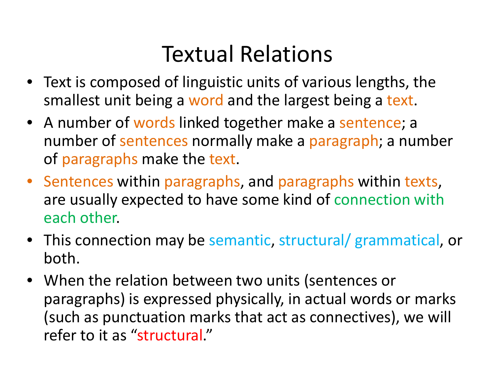### Textual Relations

- Text is composed of linguistic units of various lengths, the smallest unit being a word and the largest being a text.
- A number of words linked together make a sentence; a number of sentences normally make a paragraph; a number of paragraphs make the text.
- Sentences within paragraphs, and paragraphs within texts, are usually expected to have some kind of connection with each other.
- This connection may be semantic, structural/ grammatical, or both.
- • When the relation between two units (sentences or paragraphs) is expressed physically, in actual words or marks (such as punctuation marks that act as connectives), we will refer to it as "structural."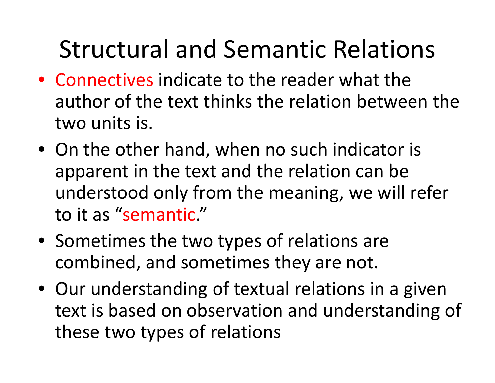## Structural and Semantic Relations

- Connectives indicate to the reader what the author of the text thinks the relation between the two units is.
- On the other hand, when no such indicator is apparent in the text and the relation can be understood only from the meaning, we will refer to it as "semantic."
- Sometimes the two types of relations are combined, and sometimes they are not.
- Our understanding of textual relations in a given text is based on observation and understanding of these two types of relations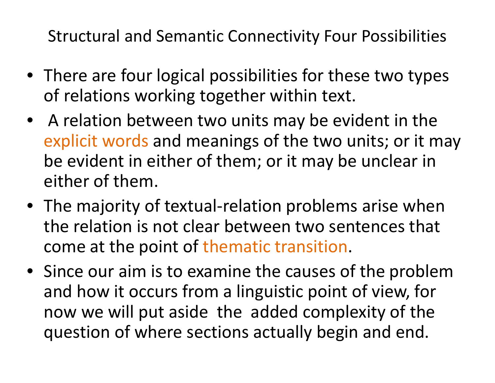Structural and Semantic Connectivity Four Possibilities

- There are four logical possibilities for these two types of relations working together within text.
- A relation between two units may be evident in the explicit words and meanings of the two units; or it may be evident in either of them; or it may be unclear ineither of them.
- The majority of textual‐relation problems arise when the relation is not clear between two sentences that come at the point of thematic transition.
- Since our aim is to examine the causes of the problem and how it occurs from a linguistic point of view, for now we will put aside the added complexity of the question of where sections actually begin and end.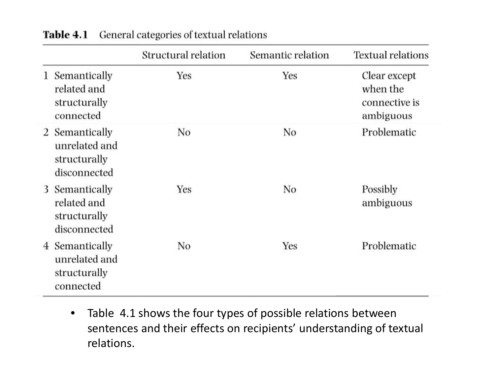|   |                                                                 | Structural relation | Semantic relation | <b>Textual relations</b>                               |
|---|-----------------------------------------------------------------|---------------------|-------------------|--------------------------------------------------------|
| 1 | Semantically<br>related and<br>structurally<br>connected        | Yes                 | Yes               | Clear except<br>when the<br>connective is<br>ambiguous |
|   | 2 Semantically<br>unrelated and<br>structurally<br>disconnected | No                  | No                | Problematic                                            |
| 3 | Semantically<br>related and<br>structurally<br>disconnected     | Yes                 | No                | Possibly<br>ambiguous                                  |
|   | 4 Semantically<br>unrelated and<br>structurally<br>connected    | No                  | Yes               | Problematic                                            |

General categories of textual relations Table 4.1

 $\bullet$  Table 4.1 shows the four types of possible relations between sentences and their effects on recipients' understanding of textual relations.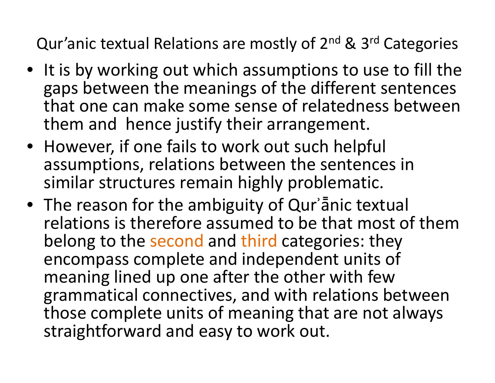Qur'anic textual Relations are mostly of 2<sup>nd</sup> & 3<sup>rd</sup> Categories

- It is by working out which assumptions to use to fill the gaps between the meanings of the different sentences that one can make some sense of relatedness betweenthem and hence justify their arrangement.
- However, if one fails to work out such helpful assumptions, relations between the sentences in similar structures remain highly problematic.
- The reason for the ambiguity of Qur'anic textual relations is therefore assumed to be that most of them belong to the second and third categories: they encompass complete and independent units of meaning lined up one after the other with few grammatical connectives, and with relations between those complete units of meaning that are not alwaysstraightforward and easy to work out.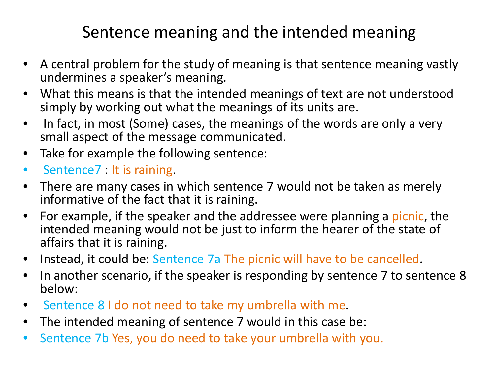### Sentence meaning and the intended meaning

- $\bullet$  A central problem for the study of meaning is that sentence meaning vastly undermines a speaker's meaning.
- $\bullet$  What this means is that the intended meanings of text are not understood simply by working out what the meanings of its units are.
- $\bullet$  In fact, in most (Some) cases, the meanings of the words are only a very small aspect of the message communicated.
- $\bullet$ Take for example the following sentence:
- $\bullet$ Sentence7 : It is raining.
- • There are many cases in which sentence 7 would not be taken as merely informative of the fact that it is raining.
- • For example, if the speaker and the addressee were planning a picnic, the intended meaning would not be just to inform the hearer of the state of affairs that it is raining.
- $\bullet$ Instead, it could be: Sentence 7a The picnic will have to be cancelled.
- $\bullet$  In another scenario, if the speaker is responding by sentence 7 to sentence 8 below:
- $\bullet$ **Sentence 8 I do not need to take my umbrella with me.**
- $\bullet$ The intended meaning of sentence 7 would in this case be:
- $\bullet$ Sentence 7b Yes, you do need to take your umbrella with you.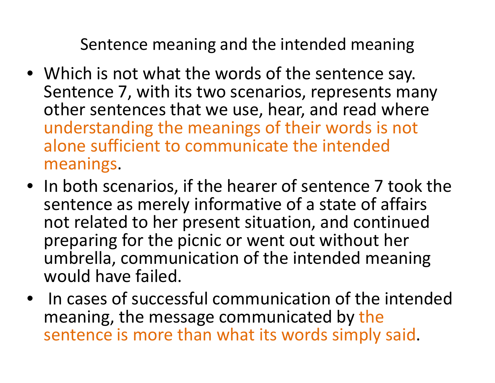Sentence meaning and the intended meaning

- Which is not what the words of the sentence say. Sentence 7, with its two scenarios, represents many other sentences that we use, hear, and read where understanding the meanings of their words is not alone sufficient to communicate the intended meanings.
- In both scenarios, if the hearer of sentence 7 took the sentence as merely informative of a state of affairs not related to her present situation, and continuedpreparing for the picnic or went out without her umbrella, communication of the intended meaning would have failed.
- In cases of successful communication of the intendedmeaning, the message communicated by the sentence is more than what its words simply said.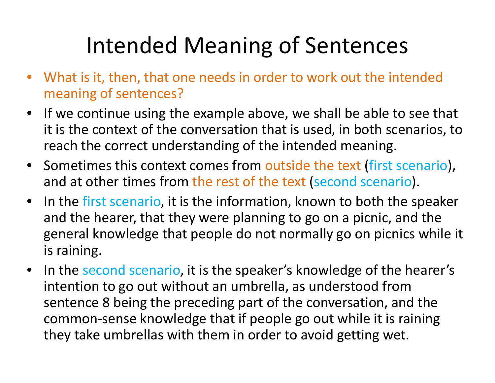## Intended Meaning of Sentences

- • What is it, then, that one needs in order to work out the intended meaning of sentences?
- If we continue using the example above, we shall be able to see that it is the context of the conversation that is used, in both scenarios, to reach the correct understanding of the intended meaning.
- Sometimes this context comes from outside the text (first scenario), and at other times from the rest of the text (second scenario).
- •In the first scenario, it is the information, known to both the speaker and the hearer, that they were planning to go on a picnic, and the general knowledge that people do not normally go on picnics while it is raining.
- $\bullet$ In the second scenario, it is the speaker's knowledge of the hearer's intention to go out without an umbrella, as understood from sentence 8 being the preceding part of the conversation, and the common‐sense knowledge that if people go out while it is raining they take umbrellas with them in order to avoid getting wet.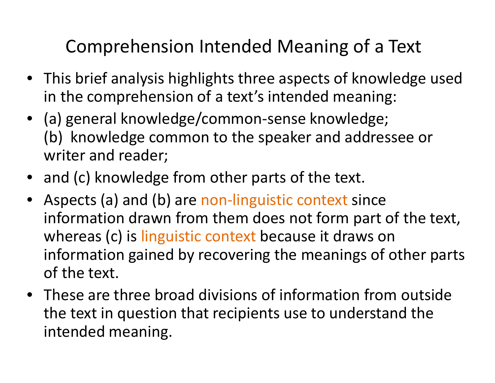#### Comprehension Intended Meaning of a Text

- This brief analysis highlights three aspects of knowledge used in the comprehension of a text's intended meaning:
- (a) general knowledge/common‐sense knowledge; (b) knowledge common to the speaker and addressee or writer and reader;
- and (c) knowledge from other parts of the text.
- •Aspects (a) and (b) are non-linguistic context since information drawn from them does not form part of the text, whereas (c) is linguistic context because it draws on information gained by recovering the meanings of other parts of the text.
- These are three broad divisions of information from outside the text in question that recipients use to understand the intended meaning.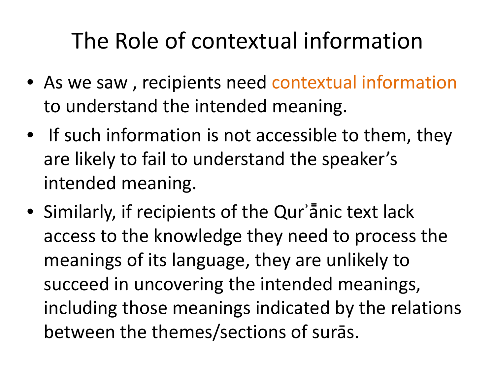## The Role of contextual information

- As we saw , recipients need contextual information to understand the intended meaning.
- If such information is not accessible to them, theyare likely to fail to understand the speaker's intended meaning.
- Similarly, if recipients of the Qurʾā̄nic text lack access to the knowledge they need to process the meanings of its language, they are unlikely to succeed in uncovering the intended meanings, including those meanings indicated by the relationsbetween the themes/sections of surās.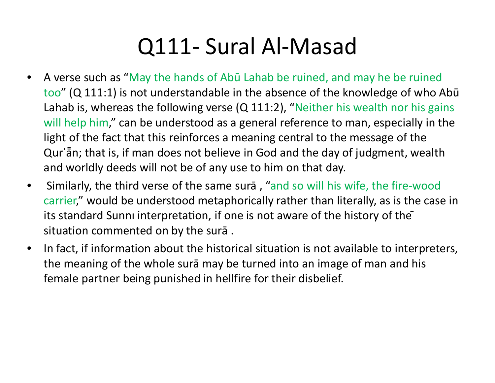## Q111‐ Sural Al‐Masad

- $\bullet$  A verse such as "May the hands of Abū Lahab be ruined, and may he be ruined too" (Q 111:1) is not understandable in the absence of the knowledge of who Abū Lahab is, whereas the following verse (Q 111:2), "Neither his wealth nor his gains will help him," can be understood as a general reference to man, especially in the light of the fact that this reinforces a meaning central to the message of the Qurʾā̄n; that is, if man does not believe in God and the day of judgment, wealth and worldly deeds will not be of any use to him on that day.
- $\bullet$  Similarly, the third verse of the same surā , "and so will his wife, the fire‐wood carrier," would be understood metaphorically rather than literally, as is the case in its standard Sunni interpretation, if one is not aware of the history of the situation commented on by the surā .
- $\bullet$  In fact, if information about the historical situation is not available to interpreters, the meaning of the whole surā may be turned into an image of man and his female partner being punished in hellfire for their disbelief.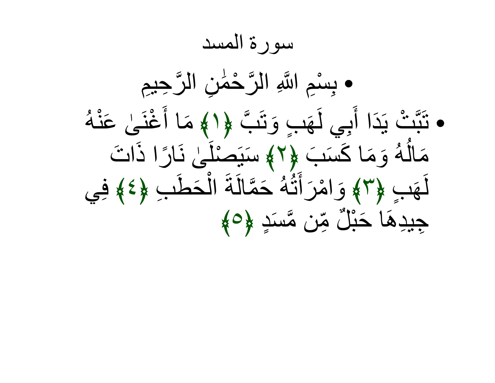سورة المسد● بِسْمِ اللَّهِ الرَّحْمَٰنِ الرَّحِيمِ تَبَّ لَإِلَٰمٍ مَا أَنْ بِسْمِ اللَّهِ الرَّحْمَٰ ● نَبَتُ يَدَا أَبِي لَـهَٰبٍ وَ َ ي ل ِبَيَدَا أَبِي أَيَمْبِ وَتَبَّ لِإِلاَهِ مَا أَغْنَىٰ عَنْهُ يتَبَّتْ يَدَا أَبِي لَهَبٍ وَتَبَّ ﴿ الْمَمَا أَغْنَىٰ َ وَمَا كَسَبَ ﴿٢﴾ سَيَصْلُىٰ نَارًا ذَاد  $\frac{1}{2}$   $\frac{1}{2}$   $\frac{1}{2}$   $\frac{1}{2}$   $\frac{1}{2}$   $\frac{1}{2}$   $\frac{1}{2}$   $\frac{1}{2}$   $\frac{1}{2}$   $\frac{1}{2}$   $\frac{1}{2}$   $\frac{1}{2}$ و<br>أُلمُ مَالَهُ وَمَا كَسَبَ لِإِلاَّ سَبَصْلَىٰ نَارًا ذَاتَ ْصلَ َسيَ﴾٢﴿ $\mathbf{z}$  and  $\mathbf{z}$  and  $\mathbf{z}$ ٍبَه َأَهَبِ ﴿٣﴾ وَامْرَأَنَّهُ حَمَّالَةَ الْحَطَبِ  $28 + 0$ ٥ الةََأَثُهُ حَمَّالً وَامْرَأَتَهُ حَمَّالَةَ الْحَطْبِ ﴿٤﴾ فِي أجِيدِهَا حَبْلٌ مِّن مَّسنَدٍ لِإِمْ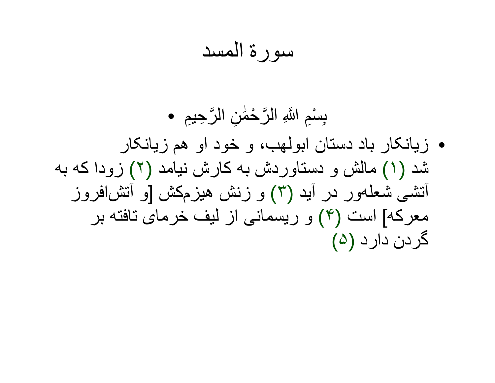سورة المسد

•ِسِمْعِ اللَّهِ الرَّحْمَٰنِ الرَّحِيمِ<br>زيانکار باد دستان ابولهب، و خود او هم زيانکار شد (١) مالش و دستاوردش به کارش نيامد (٢) زودا که به آتشی شعله ور در آيد (٣) و زنش هيزم کش [و آتش افروز معرکه] است (۴) و ريسمانی از ليف خرمای تافته بر گردن دارد (۵)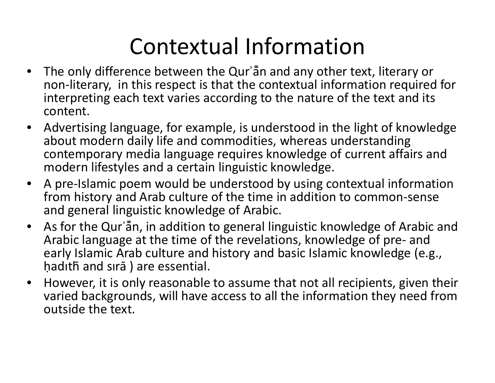## Contextual Information

- • The only difference between the Qurʾā̄n and any other text, literary or non‐literary, in this respect is that the contextual information required for interpreting each text varies according to the nature of the text and its content.
- • Advertising language, for example, is understood in the light of knowledge about modern daily life and commodities, whereas understanding contemporary media language requires knowledge of current affairs and modern lifestyles and a certain linguistic knowledge.
- $\bullet$  A pre‐Islamic poem would be understood by using contextual information from history and Arab culture of the time in addition to common‐sense and general linguistic knowledge of Arabic.
- • As for the Qurʾā̄n, in addition to general linguistic knowledge of Arabic and Arabic language at the time of the revelations, knowledge of pre‐ and early Islamic Arab culture and history and basic Islamic knowledge (e.g., ḥadıth̄ and sırā ) are essential.
- • However, it is only reasonable to assume that not all recipients, given their varied backgrounds, will have access to all the information they need from outside the text.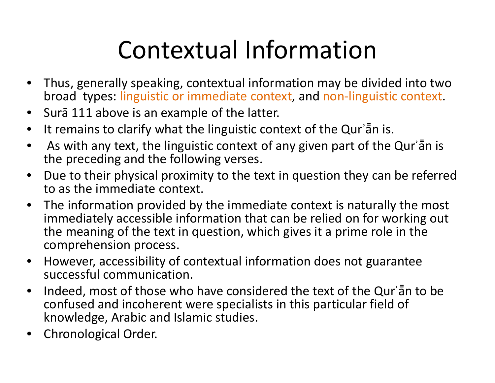## Contextual Information

- • Thus, generally speaking, contextual information may be divided into two broad types: linguistic or immediate context, and non‐linguistic context.
- $\bullet$ Surā 111 above is an example of the latter.
- $\bullet$ It remains to clarify what the linguistic context of the Qurʾā̄n is.
- $\bullet$  As with any text, the linguistic context of any given part of the Qurʾā̄n is the preceding and the following verses.
- $\bullet$  Due to their physical proximity to the text in question they can be referred to as the immediate context.
- $\bullet$  The information provided by the immediate context is naturally the most immediately accessible information that can be relied on for working out the meaning of the text in question, which gives it a prime role in the comprehension process.
- $\bullet$  However, accessibility of contextual information does not guarantee successful communication.
- $\bullet$  Indeed, most of those who have considered the text of the Qurʾā̄n to be confused and incoherent were specialists in this particular field of knowledge, Arabic and Islamic studies.
- •Chronological Order.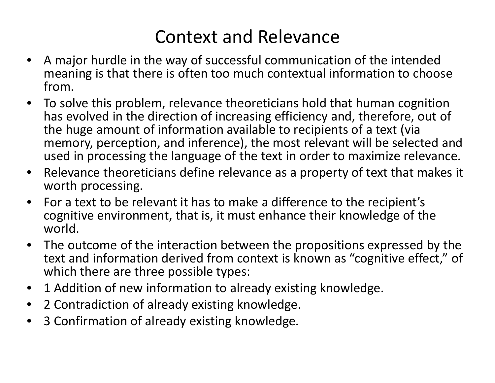- • A major hurdle in the way of successful communication of the intended meaning is that there is often too much contextual information to choose from.
- $\bullet$  To solve this problem, relevance theoreticians hold that human cognition has evolved in the direction of increasing efficiency and, therefore, out of the huge amount of information available to recipients of a text (via memory, perception, and inference), the most relevant will be selected and used in processing the language of the text in order to maximize relevance.
- • Relevance theoreticians define relevance as a property of text that makes it worth processing.
- $\bullet$  For a text to be relevant it has to make a difference to the recipient's cognitive environment, that is, it must enhance their knowledge of the world.
- $\bullet$  The outcome of the interaction between the propositions expressed by the text and information derived from context is known as "cognitive effect," of which there are three possible types:
- •1 Addition of new information to already existing knowledge.
- $\bullet$ 2 Contradiction of already existing knowledge.
- $\bullet$ 3 Confirmation of already existing knowledge.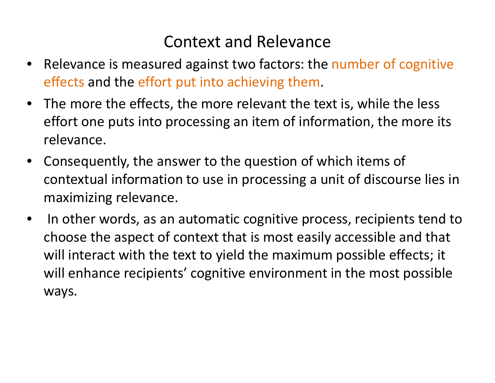- $\bullet$ Relevance is measured against two factors: the number of cognitive effects and the effort put into achieving them.
- • The more the effects, the more relevant the text is, while the lesseffort one puts into processing an item of information, the more its relevance.
- • Consequently, the answer to the question of which items of contextual information to use in processing a unit of discourse lies in maximizing relevance.
- $\bullet$  In other words, as an automatic cognitive process, recipients tend to choose the aspect of context that is most easily accessible and that will interact with the text to yield the maximum possible effects; it will enhance recipients' cognitive environment in the most possible ways.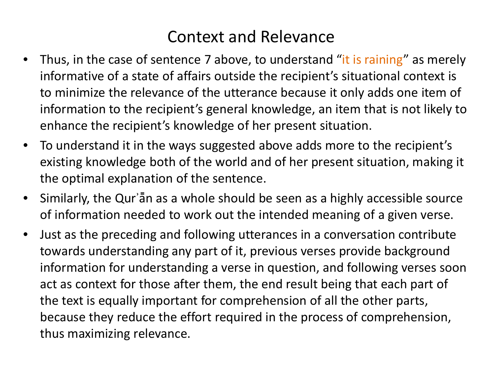- •Thus, in the case of sentence 7 above, to understand "it is raining" as merely informative of a state of affairs outside the recipient's situational context is to minimize the relevance of the utterance because it only adds one item of information to the recipient's general knowledge, an item that is not likely to enhance the recipient's knowledge of her present situation.
- $\bullet$  To understand it in the ways suggested above adds more to the recipient's existing knowledge both of the world and of her present situation, making it the optimal explanation of the sentence.
- $\bullet$  Similarly, the Qurʾā̄n as a whole should be seen as a highly accessible source of information needed to work out the intended meaning of a given verse.
- $\bullet$  Just as the preceding and following utterances in a conversation contribute towards understanding any part of it, previous verses provide background information for understanding a verse in question, and following verses soon act as context for those after them, the end result being that each part of the text is equally important for comprehension of all the other parts, because they reduce the effort required in the process of comprehension, thus maximizing relevance.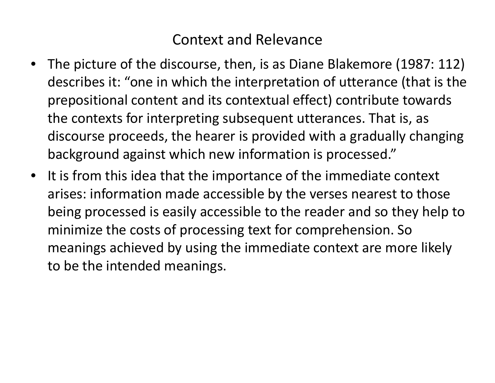- The picture of the discourse, then, is as Diane Blakemore (1987: 112) describes it: "one in which the interpretation of utterance (that is theprepositional content and its contextual effect) contribute towards the contexts for interpreting subsequent utterances. That is, as discourse proceeds, the hearer is provided with a gradually changing background against which new information is processed."
- It is from this idea that the importance of the immediate context arises: information made accessible by the verses nearest to those being processed is easily accessible to the reader and so they help to minimize the costs of processing text for comprehension. So meanings achieved by using the immediate context are more likely to be the intended meanings.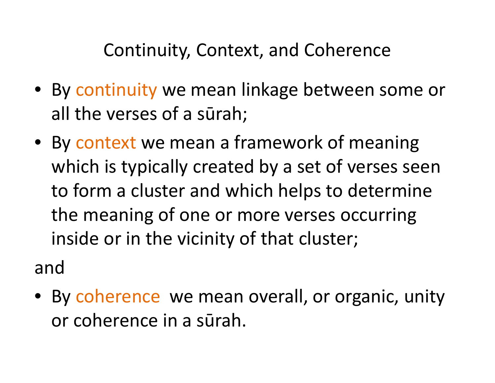#### Continuity, Context, and Coherence

- By continuity we mean linkage between some or all the verses of a sūrah;
- By context we mean a framework of meaning which is typically created by a set of verses seen to form a cluster and which helps to determine the meaning of one or more verses occurring inside or in the vicinity of that cluster;

and

• By coherence we mean overall, or organic, unity or coherence in a sūrah.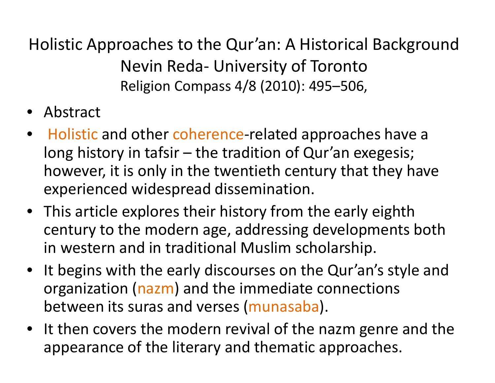Holistic Approaches to the Qur'an: A Historical Background Nevin Reda‐ University of TorontoReligion Compass 4/8 (2010): 495–506,

- •Abstract
- •● Holistic and other coherence-related approaches have a long history in tafsir – the tradition of Qur'an exegesis; however, it is only in the twentieth century that they have experienced widespread dissemination.
- This article explores their history from the early eighth century to the modern age, addressing developments both in western and in traditional Muslim scholarship.
- $\bullet$  It begins with the early discourses on the Qur'an's style and organization (nazm) and the immediate connections between its suras and verses (munasaba).
- •• It then covers the modern revival of the nazm genre and the appropriation of the literary and the matic appropriation appearance of the literary and thematic approaches.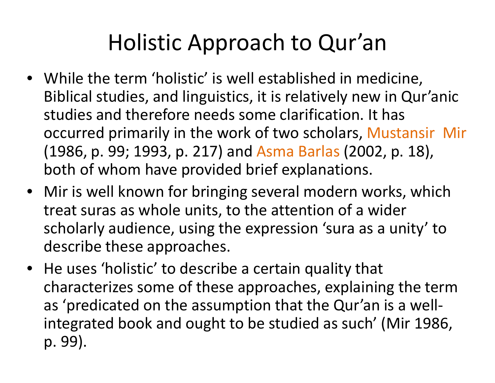## Holistic Approach to Qur'an

- While the term 'holistic' is well established in medicine, Biblical studies, and linguistics, it is relatively new in Qur'anicstudies and therefore needs some clarification. It has occurred primarily in the work of two scholars, Mustansir Mir (1986, p. 99; 1993, p. 217) and Asma Barlas (2002, p. 18), both of whom have provided brief explanations.
- Mir is well known for bringing several modern works, which treat suras as whole units, to the attention of a wider scholarly audience, using the expression 'sura as a unity' to describe these approaches.
- He uses 'holistic' to describe a certain quality that characterizes some of these approaches, explaining the term as 'predicated on the assumption that the Qur'an is a well‐integrated book and ought to be studied as such' (Mir 1986, p. 99).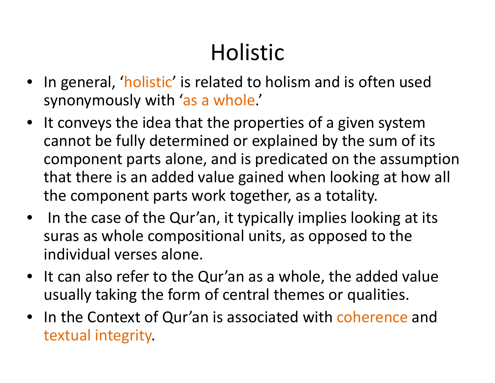## Holistic

- •In general, 'holistic' is related to holism and is often used synonymously with 'as a whole.'
- • It conveys the idea that the properties of a given system cannot be fully determined or explained by the sum of its component parts alone, and is predicated on the assumption that there is an added value gained when looking at how all the component parts work together, as a totality.
- In the case of the Qur'an, it typically implies looking at its suras as whole compositional units, as opposed to the individual verses alone.
- It can also refer to the Qur'an as a whole, the added value usually taking the form of central themes or qualities.
- In the Context of Qur'an is associated with coherence and textual integrity.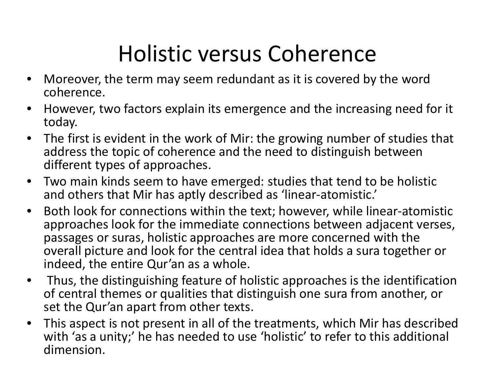## Holistic versus Coherence

- • Moreover, the term may seem redundant as it is covered by the word coherence.
- • However, two factors explain its emergence and the increasing need for it today.
- • The first is evident in the work of Mir: the growing number of studies that address the topic of coherence and the need to distinguish between different types of approaches.
- • Two main kinds seem to have emerged: studies that tend to be holistic and others that Mir has aptly described as 'linear‐atomistic.'
- • Both look for connections within the text; however, while linear‐atomistic approaches look for the immediate connections between adjacent verses, passages or suras, holistic approaches are more concerned with the overall picture and look for the central idea that holds a sura together or indeed, the entire Qur'an as a whole.
- $\bullet$  Thus, the distinguishing feature of holistic approaches is the identification of central themes or qualities that distinguish one sura from another, or set the Qur'an apart from other texts.
- • This aspect is not present in all of the treatments, which Mir has described with 'as a unity;' he has needed to use 'holistic' to refer to this additional dimension.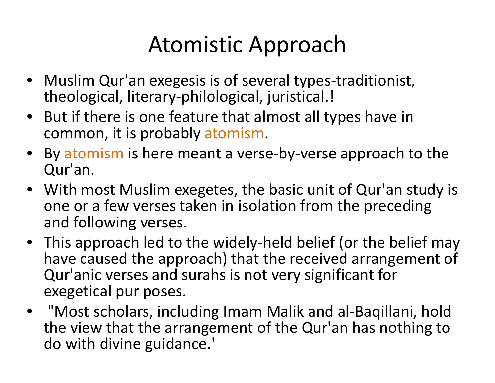## Atomistic Approach

- Muslim Qur'an exegesis is of several types-traditionist, theological, literary‐philological, juristical.!
- But if there is one feature that almost all types have in common, it is probably atomism.
- •• By atomism is here meant a verse-by-verse approach to the <br>∩ur'an Qur'an.
- With most Muslim exegetes, the basic unit of Qur'an study is one or a few verses taken in isolation from the preceding and following verses.
- This approach led to the widely-held belief (or the belief may have caused the approach) that the received arrangement of Qur'anic verses and surahs is not very significant for exegetical pur poses.
- "Most scholars, including Imam Malik and al‐Baqillani, hold the view that the arrangement of the Qur'an has nothing to do with divine guidance.'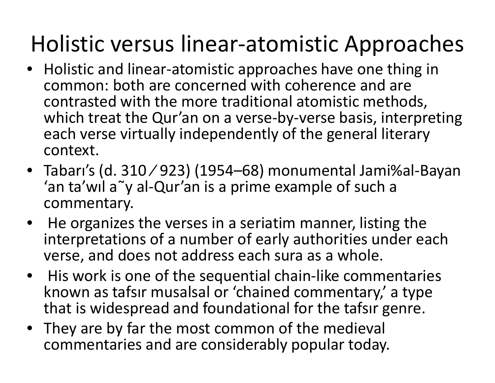## Holistic versus linear‐atomistic Approaches

- Holistic and linear-atomistic approaches have one thing in common: both are concerned with coherence and are contrasted with the more traditional atomistic methods, which treat the Qur'an on a verse‐by‐verse basis, interpreting each verse virtually independently of the general literary context.
- Tabarı's (d. 310 ⁄ 923) (1954–68) monumental Jami%al‐Bayan'an ta'wıl <sup>a</sup>˜y al‐Qur'an is a prime example of such a commentary.
- He organizes the verses in a seriatim manner, listing the interpretations of a number of early authorities under each verse, and does not address each sura as a whole.
- $\bullet$  His work is one of the sequential chain‐like commentaries known as tafsır musalsal or 'chained commentary,' a type that is widespread and foundational for the tafsır genre.
- They are by far the most common of the medieval commentaries and are considerably popular today.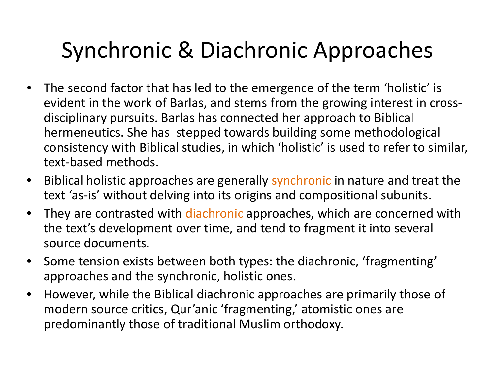## Synchronic & Diachronic Approaches

- • The second factor that has led to the emergence of the term 'holistic' is evident in the work of Barlas, and stems from the growing interest in cross‐disciplinary pursuits. Barlas has connected her approach to Biblical hermeneutics. She has stepped towards building some methodological consistency with Biblical studies, in which 'holistic' is used to refer to similar, text‐based methods.
- •• Biblical holistic approaches are generally synchronic in nature and treat the text 'as‐is' without delving into its origins and compositional subunits.
- •• They are contrasted with diachronic approaches, which are concerned with the text's development over time, and tend to fragment it into several source documents.
- $\bullet$  Some tension exists between both types: the diachronic, 'fragmenting' approaches and the synchronic, holistic ones.
- $\bullet$  However, while the Biblical diachronic approaches are primarily those of modern source critics, Qur'anic 'fragmenting,' atomistic ones are predominantly those of traditional Muslim orthodoxy.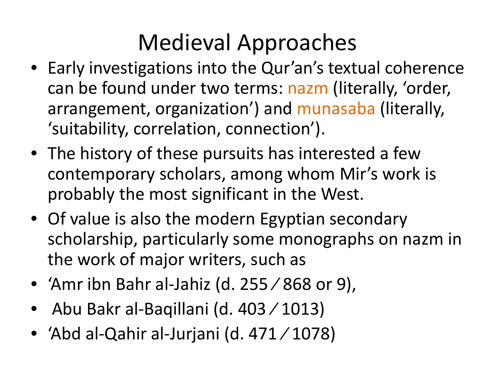## Medieval Approaches

- Early investigations into the Qur'an's textual coherence can be found under two terms: nazm (literally, 'order,<br>arrangement, erganization') and munasaha (literally, arrangement, organization') and munasaba (literally, 'suitability, correlation, connection').
- The history of these pursuits has interested a few contemporary scholars, among whom Mir's work is probably the most significant in the West.
- Of value is also the modern Egyptian secondary scholarship, particularly some monographs on nazm in<br>the work of major writers, such as the work of major writers, such as
- 'Amr ibn Bahr al‐Jahiz (d. 255 ⁄ 868 or 9),
- •Abu Bakr al‐Baqillani (d. 403 ⁄ 1013)
- 'Abd al‐Qahir al‐Jurjani (d. 471 ⁄ 1078)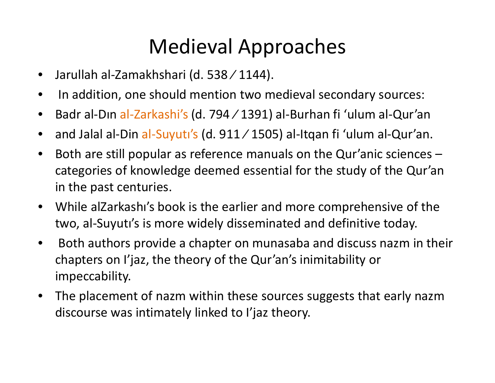### Medieval Approaches

- •Jarullah al‐Zamakhshari (d. 538 ⁄ 1144).
- $\bullet$ In addition, one should mention two medieval secondary sources:
- $\bullet$ ● Badr al-Dın al-Zarkashi's (d. 794⁄1391) al-Burhan fi 'ulum al-Qur'an
- $\bullet$ ● and Jalal al-Din al-Suyutı's (d. 911⁄1505) al-Itqan fi 'ulum al-Qur'an.
- $\bullet$  Both are still popular as reference manuals on the Qur'anic sciences – categories of knowledge deemed essential for the study of the Qur'an in the past centuries.
- $\bullet$  While alZarkashı's book is the earlier and more comprehensive of the two, al‐Suyutı's is more widely disseminated and definitive today.
- •• Both authors provide a chapter on munasaba and discuss nazm in their<br>experiences on line that has must the Qur'en's inimitability on chapters on I'jaz, the theory of the Qur'an's inimitability or impeccability.
- $\bullet$ • The placement of nazm within these sources suggests that early nazm<br>discousses westimized by lighted to l'inclusions discourse was intimately linked to I'jaz theory.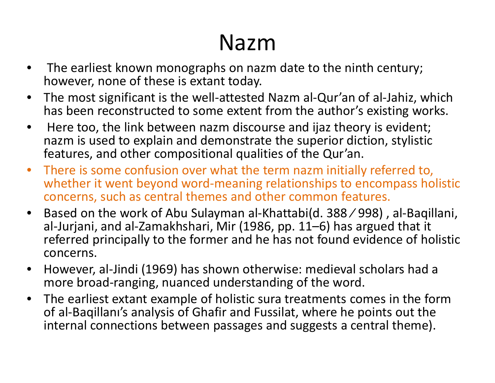## Nazm

- $\bullet$ • The earliest known monographs on nazm date to the ninth century;<br>however none of these is extant today however, none of these is extant today.
- •• The most significant is the well-attested Nazm al-Qur'an of al-Jahiz, which<br>has been reconstructed to some extent from the author's existing works has been reconstructed to some extent from the author's existing works.
- $\bullet$ Here too, the link between nazm discourse and ijaz theory is evident;<br>nazm is used to explain and demonstrate the sunerior diction, stylistic nazm is used to explain and demonstrate the superior diction, stylistic<br>features, and other compositional qualities of the Qur'an features, and other compositional qualities of the Qur'an.
- •• There is some confusion over what the term nazm initially referred to,<br>whether it went hevond word-meaning relationshins to encompass ho whether it went beyond word-meaning relationships to encompass holistic concerns, such as central themes and other common features.
- • Based on the work of Abu Sulayman al‐Khattabi(d. 388 ⁄ 998) , al‐Baqillani, al‐Jurjani, and al‐Zamakhshari, Mir (1986, pp. 11–6) has argued that it referred principally to the former and he has not found evidence of holistic concerns.
- • However, al‐Jindi (1969) has shown otherwise: medieval scholars had a more broad‐ranging, nuanced understanding of the word.
- • The earliest extant example of holistic sura treatments comes in the form of al‐Baqillanı's analysis of Ghafir and Fussilat, where he points out the internal connections between passages and suggests a central theme).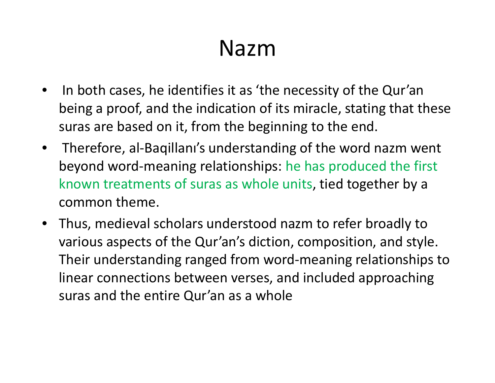### Nazm

- $\bullet$  In both cases, he identifies it as 'the necessity of the Qur'an being a proof, and the indication of its miracle, stating that these suras are based on it, from the beginning to the end.
- $\bullet$ • Therefore, al-Baqillanı's understanding of the word nazm went<br>havend werd magning relationships: he has nuadused the first beyond word‐meaning relationships: he has produced the first known treatments of suras as whole units, tied together by a common theme.
- $\bullet$ • Thus, medieval scholars understood nazm to refer broadly to<br>strategies are acte of the Qur'er's disting commercities and stude various aspects of the Qur'an's diction, composition, and style. Their understanding ranged from word‐meaning relationships to linear connections between verses, and included approaching suras and the entire Qur'an as a whole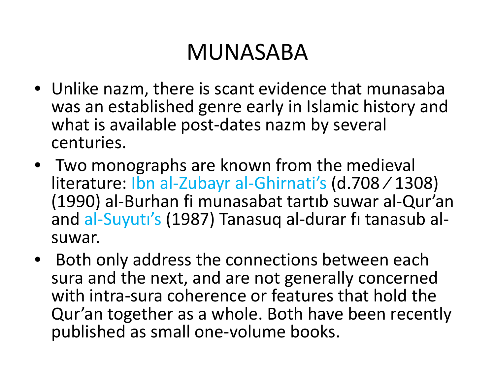## MUNASABA

- Unlike nazm, there is scant evidence that munasaba was an established genre early in Islamic history and what is available post-dates nazm by several<br>centuries centuries.
- Two monographs are known from the medieval literature: Ibn al‐Zubayr al‐Ghirnati's (d.708 ⁄ 1308) (1990) al‐Burhan fi munasabat tartıb suwar al‐Qur'an and al‐Suyutı's (1987) Tanasuq al‐durar fı tanasub al‐ suwar.
- Both only address the connections between each sura and the next, and are not generally concerned with intra-sura coherence or features that hold the Qur'an together as a whole. Both have been recently published as small one‐volume books.